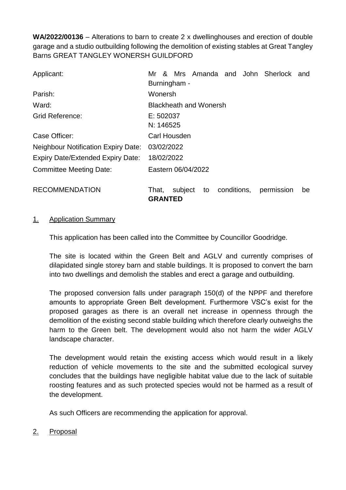**WA/2022/00136** – Alterations to barn to create 2 x dwellinghouses and erection of double garage and a studio outbuilding following the demolition of existing stables at Great Tangley Barns GREAT TANGLEY WONERSH GUILDFORD

| Applicant:                                 | Mr & Mrs Amanda and John Sherlock and<br>Burningham -                       |
|--------------------------------------------|-----------------------------------------------------------------------------|
| Parish:                                    | Wonersh                                                                     |
| Ward:                                      | <b>Blackheath and Wonersh</b>                                               |
| <b>Grid Reference:</b>                     | E: 502037<br>N: 146525                                                      |
| Case Officer:                              | <b>Carl Housden</b>                                                         |
| <b>Neighbour Notification Expiry Date:</b> | 03/02/2022                                                                  |
| <b>Expiry Date/Extended Expiry Date:</b>   | 18/02/2022                                                                  |
| <b>Committee Meeting Date:</b>             | Eastern 06/04/2022                                                          |
| <b>RECOMMENDATION</b>                      | subject<br>conditions,<br>That,<br>to<br>permission<br>be<br><b>GRANTED</b> |

#### 1. Application Summary

This application has been called into the Committee by Councillor Goodridge.

The site is located within the Green Belt and AGLV and currently comprises of dilapidated single storey barn and stable buildings. It is proposed to convert the barn into two dwellings and demolish the stables and erect a garage and outbuilding.

The proposed conversion falls under paragraph 150(d) of the NPPF and therefore amounts to appropriate Green Belt development. Furthermore VSC's exist for the proposed garages as there is an overall net increase in openness through the demolition of the existing second stable building which therefore clearly outweighs the harm to the Green belt. The development would also not harm the wider AGLV landscape character.

The development would retain the existing access which would result in a likely reduction of vehicle movements to the site and the submitted ecological survey concludes that the buildings have negligible habitat value due to the lack of suitable roosting features and as such protected species would not be harmed as a result of the development.

As such Officers are recommending the application for approval.

2. Proposal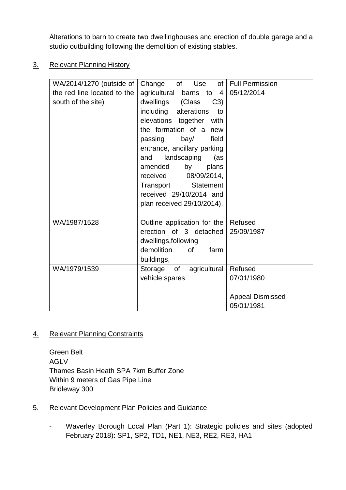Alterations to barn to create two dwellinghouses and erection of double garage and a studio outbuilding following the demolition of existing stables.

3. Relevant Planning History

| WA/2014/1270 (outside of    | of Use<br>Change                                                                                                                                                                                                                                                                                                                                    | of   Full Permission                                           |
|-----------------------------|-----------------------------------------------------------------------------------------------------------------------------------------------------------------------------------------------------------------------------------------------------------------------------------------------------------------------------------------------------|----------------------------------------------------------------|
| the red line located to the | agricultural barns to $4$                                                                                                                                                                                                                                                                                                                           | 05/12/2014                                                     |
| south of the site)          | dwellings (Class<br>C3)<br>including alterations<br>to<br>elevations together with<br>the formation of a new<br>bay/<br>field<br>passing<br>entrance, ancillary parking<br>landscaping<br>and<br>(as<br>amended<br>by<br>plans<br>08/09/2014,<br>received<br>Transport<br><b>Statement</b><br>received 29/10/2014 and<br>plan received 29/10/2014). |                                                                |
| WA/1987/1528                | Outline application for the Refused<br>erection of 3 detached<br>dwellings, following<br>demolition<br>of<br>farm<br>buildings,                                                                                                                                                                                                                     | 25/09/1987                                                     |
| WA/1979/1539                | of<br>agricultural<br>Storage<br>vehicle spares                                                                                                                                                                                                                                                                                                     | Refused<br>07/01/1980<br><b>Appeal Dismissed</b><br>05/01/1981 |

# 4. Relevant Planning Constraints

Green Belt AGLV Thames Basin Heath SPA 7km Buffer Zone Within 9 meters of Gas Pipe Line Bridleway 300

- 5. Relevant Development Plan Policies and Guidance
	- Waverley Borough Local Plan (Part 1): Strategic policies and sites (adopted February 2018): SP1, SP2, TD1, NE1, NE3, RE2, RE3, HA1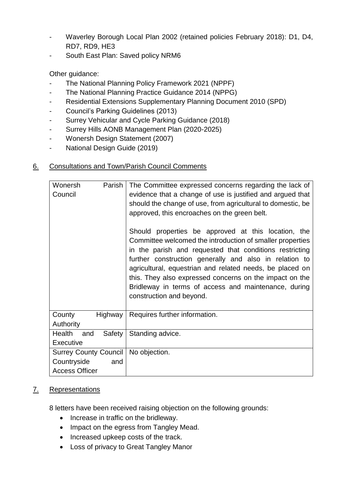- Waverley Borough Local Plan 2002 (retained policies February 2018): D1, D4, RD7, RD9, HE3
- South East Plan: Saved policy NRM6

Other guidance:

- The National Planning Policy Framework 2021 (NPPF)
- The National Planning Practice Guidance 2014 (NPPG)
- Residential Extensions Supplementary Planning Document 2010 (SPD)
- Council's Parking Guidelines (2013)
- Surrey Vehicular and Cycle Parking Guidance (2018)
- Surrey Hills AONB Management Plan (2020-2025)
- Wonersh Design Statement (2007)
- National Design Guide (2019)

# 6. Consultations and Town/Parish Council Comments

| Wonersh<br>Parish<br>Council                                         |         | The Committee expressed concerns regarding the lack of<br>evidence that a change of use is justified and argued that<br>should the change of use, from agricultural to domestic, be<br>approved, this encroaches on the green belt.<br>Should properties be approved at this location, the<br>Committee welcomed the introduction of smaller properties<br>in the parish and requested that conditions restricting<br>further construction generally and also in relation to<br>agricultural, equestrian and related needs, be placed on<br>this. They also expressed concerns on the impact on the |  |
|----------------------------------------------------------------------|---------|-----------------------------------------------------------------------------------------------------------------------------------------------------------------------------------------------------------------------------------------------------------------------------------------------------------------------------------------------------------------------------------------------------------------------------------------------------------------------------------------------------------------------------------------------------------------------------------------------------|--|
|                                                                      |         | Bridleway in terms of access and maintenance, during<br>construction and beyond.                                                                                                                                                                                                                                                                                                                                                                                                                                                                                                                    |  |
| County<br>Authority                                                  | Highway | Requires further information.                                                                                                                                                                                                                                                                                                                                                                                                                                                                                                                                                                       |  |
| Health<br>and<br><b>Executive</b>                                    | Safety  | Standing advice.                                                                                                                                                                                                                                                                                                                                                                                                                                                                                                                                                                                    |  |
| <b>Surrey County Council</b><br>Countryside<br><b>Access Officer</b> | and     | No objection.                                                                                                                                                                                                                                                                                                                                                                                                                                                                                                                                                                                       |  |

# 7. Representations

8 letters have been received raising objection on the following grounds:

- Increase in traffic on the bridleway.
- Impact on the egress from Tangley Mead.
- Increased upkeep costs of the track.
- Loss of privacy to Great Tangley Manor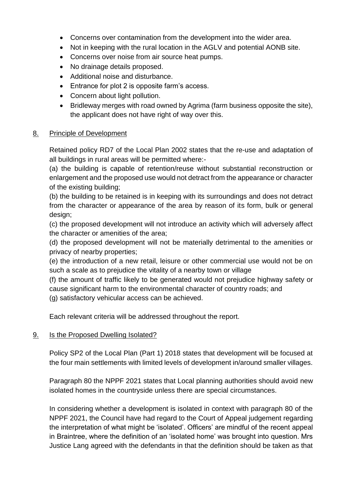- Concerns over contamination from the development into the wider area.
- Not in keeping with the rural location in the AGLV and potential AONB site.
- Concerns over noise from air source heat pumps.
- No drainage details proposed.
- Additional noise and disturbance.
- Entrance for plot 2 is opposite farm's access.
- Concern about light pollution.
- Bridleway merges with road owned by Agrima (farm business opposite the site). the applicant does not have right of way over this.

#### 8. Principle of Development

Retained policy RD7 of the Local Plan 2002 states that the re-use and adaptation of all buildings in rural areas will be permitted where:-

(a) the building is capable of retention/reuse without substantial reconstruction or enlargement and the proposed use would not detract from the appearance or character of the existing building;

(b) the building to be retained is in keeping with its surroundings and does not detract from the character or appearance of the area by reason of its form, bulk or general design;

(c) the proposed development will not introduce an activity which will adversely affect the character or amenities of the area;

(d) the proposed development will not be materially detrimental to the amenities or privacy of nearby properties;

(e) the introduction of a new retail, leisure or other commercial use would not be on such a scale as to prejudice the vitality of a nearby town or village

(f) the amount of traffic likely to be generated would not prejudice highway safety or cause significant harm to the environmental character of country roads; and (g) satisfactory vehicular access can be achieved.

Each relevant criteria will be addressed throughout the report.

# 9. Is the Proposed Dwelling Isolated?

Policy SP2 of the Local Plan (Part 1) 2018 states that development will be focused at the four main settlements with limited levels of development in/around smaller villages.

Paragraph 80 the NPPF 2021 states that Local planning authorities should avoid new isolated homes in the countryside unless there are special circumstances.

In considering whether a development is isolated in context with paragraph 80 of the NPPF 2021, the Council have had regard to the Court of Appeal judgement regarding the interpretation of what might be 'isolated'. Officers' are mindful of the recent appeal in Braintree, where the definition of an 'isolated home' was brought into question. Mrs Justice Lang agreed with the defendants in that the definition should be taken as that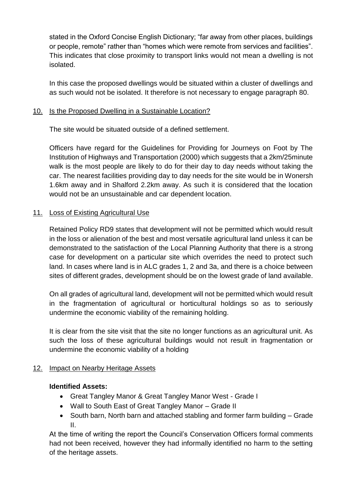stated in the Oxford Concise English Dictionary; "far away from other places, buildings or people, remote" rather than "homes which were remote from services and facilities". This indicates that close proximity to transport links would not mean a dwelling is not isolated.

In this case the proposed dwellings would be situated within a cluster of dwellings and as such would not be isolated. It therefore is not necessary to engage paragraph 80.

# 10. Is the Proposed Dwelling in a Sustainable Location?

The site would be situated outside of a defined settlement.

Officers have regard for the Guidelines for Providing for Journeys on Foot by The Institution of Highways and Transportation (2000) which suggests that a 2km/25minute walk is the most people are likely to do for their day to day needs without taking the car. The nearest facilities providing day to day needs for the site would be in Wonersh 1.6km away and in Shalford 2.2km away. As such it is considered that the location would not be an unsustainable and car dependent location.

# 11. Loss of Existing Agricultural Use

Retained Policy RD9 states that development will not be permitted which would result in the loss or alienation of the best and most versatile agricultural land unless it can be demonstrated to the satisfaction of the Local Planning Authority that there is a strong case for development on a particular site which overrides the need to protect such land. In cases where land is in ALC grades 1, 2 and 3a, and there is a choice between sites of different grades, development should be on the lowest grade of land available.

On all grades of agricultural land, development will not be permitted which would result in the fragmentation of agricultural or horticultural holdings so as to seriously undermine the economic viability of the remaining holding.

It is clear from the site visit that the site no longer functions as an agricultural unit. As such the loss of these agricultural buildings would not result in fragmentation or undermine the economic viability of a holding

# 12. Impact on Nearby Heritage Assets

# **Identified Assets:**

- Great Tangley Manor & Great Tangley Manor West Grade I
- Wall to South East of Great Tangley Manor Grade II
- South barn, North barn and attached stabling and former farm building Grade II.

At the time of writing the report the Council's Conservation Officers formal comments had not been received, however they had informally identified no harm to the setting of the heritage assets.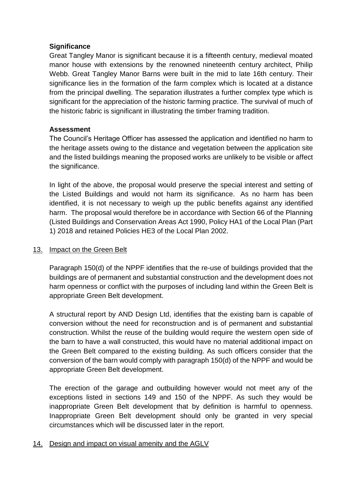#### **Significance**

Great Tangley Manor is significant because it is a fifteenth century, medieval moated manor house with extensions by the renowned nineteenth century architect, Philip Webb. Great Tangley Manor Barns were built in the mid to late 16th century. Their significance lies in the formation of the farm complex which is located at a distance from the principal dwelling. The separation illustrates a further complex type which is significant for the appreciation of the historic farming practice. The survival of much of the historic fabric is significant in illustrating the timber framing tradition.

#### **Assessment**

The Council's Heritage Officer has assessed the application and identified no harm to the heritage assets owing to the distance and vegetation between the application site and the listed buildings meaning the proposed works are unlikely to be visible or affect the significance.

In light of the above, the proposal would preserve the special interest and setting of the Listed Buildings and would not harm its significance. As no harm has been identified, it is not necessary to weigh up the public benefits against any identified harm. The proposal would therefore be in accordance with Section 66 of the Planning (Listed Buildings and Conservation Areas Act 1990, Policy HA1 of the Local Plan (Part 1) 2018 and retained Policies HE3 of the Local Plan 2002.

# 13. Impact on the Green Belt

Paragraph 150(d) of the NPPF identifies that the re-use of buildings provided that the buildings are of permanent and substantial construction and the development does not harm openness or conflict with the purposes of including land within the Green Belt is appropriate Green Belt development.

A structural report by AND Design Ltd, identifies that the existing barn is capable of conversion without the need for reconstruction and is of permanent and substantial construction. Whilst the reuse of the building would require the western open side of the barn to have a wall constructed, this would have no material additional impact on the Green Belt compared to the existing building. As such officers consider that the conversion of the barn would comply with paragraph 150(d) of the NPPF and would be appropriate Green Belt development.

The erection of the garage and outbuilding however would not meet any of the exceptions listed in sections 149 and 150 of the NPPF. As such they would be inappropriate Green Belt development that by definition is harmful to openness. Inappropriate Green Belt development should only be granted in very special circumstances which will be discussed later in the report.

# 14. Design and impact on visual amenity and the AGLV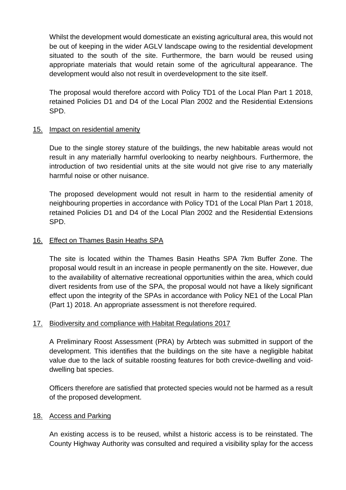Whilst the development would domesticate an existing agricultural area, this would not be out of keeping in the wider AGLV landscape owing to the residential development situated to the south of the site. Furthermore, the barn would be reused using appropriate materials that would retain some of the agricultural appearance. The development would also not result in overdevelopment to the site itself.

The proposal would therefore accord with Policy TD1 of the Local Plan Part 1 2018, retained Policies D1 and D4 of the Local Plan 2002 and the Residential Extensions SPD.

# 15. Impact on residential amenity

Due to the single storey stature of the buildings, the new habitable areas would not result in any materially harmful overlooking to nearby neighbours. Furthermore, the introduction of two residential units at the site would not give rise to any materially harmful noise or other nuisance.

The proposed development would not result in harm to the residential amenity of neighbouring properties in accordance with Policy TD1 of the Local Plan Part 1 2018, retained Policies D1 and D4 of the Local Plan 2002 and the Residential Extensions SPD.

# 16. Effect on Thames Basin Heaths SPA

The site is located within the Thames Basin Heaths SPA 7km Buffer Zone. The proposal would result in an increase in people permanently on the site. However, due to the availability of alternative recreational opportunities within the area, which could divert residents from use of the SPA, the proposal would not have a likely significant effect upon the integrity of the SPAs in accordance with Policy NE1 of the Local Plan (Part 1) 2018. An appropriate assessment is not therefore required.

# 17. Biodiversity and compliance with Habitat Regulations 2017

A Preliminary Roost Assessment (PRA) by Arbtech was submitted in support of the development. This identifies that the buildings on the site have a negligible habitat value due to the lack of suitable roosting features for both crevice-dwelling and voiddwelling bat species.

Officers therefore are satisfied that protected species would not be harmed as a result of the proposed development.

# 18. Access and Parking

An existing access is to be reused, whilst a historic access is to be reinstated. The County Highway Authority was consulted and required a visibility splay for the access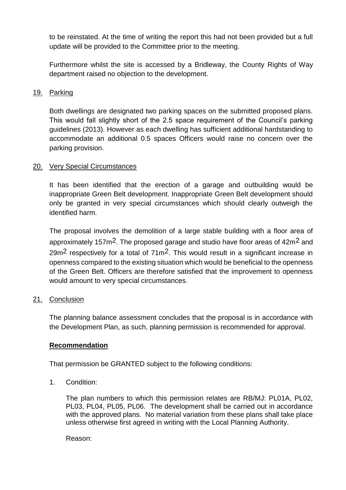to be reinstated. At the time of writing the report this had not been provided but a full update will be provided to the Committee prior to the meeting.

Furthermore whilst the site is accessed by a Bridleway, the County Rights of Way department raised no objection to the development.

#### 19. Parking

Both dwellings are designated two parking spaces on the submitted proposed plans. This would fall slightly short of the 2.5 space requirement of the Council's parking guidelines (2013). However as each dwelling has sufficient additional hardstanding to accommodate an additional 0.5 spaces Officers would raise no concern over the parking provision.

# 20. Very Special Circumstances

It has been identified that the erection of a garage and outbuilding would be inappropriate Green Belt development. Inappropriate Green Belt development should only be granted in very special circumstances which should clearly outweigh the identified harm.

The proposal involves the demolition of a large stable building with a floor area of approximately 157m<sup>2</sup>. The proposed garage and studio have floor areas of 42m<sup>2</sup> and  $29m^2$  respectively for a total of  $71m^2$ . This would result in a significant increase in openness compared to the existing situation which would be beneficial to the openness of the Green Belt. Officers are therefore satisfied that the improvement to openness would amount to very special circumstances.

# 21. Conclusion

The planning balance assessment concludes that the proposal is in accordance with the Development Plan, as such, planning permission is recommended for approval.

# **Recommendation**

That permission be GRANTED subject to the following conditions:

1. Condition:

The plan numbers to which this permission relates are RB/MJ: PL01A, PL02, PL03, PL04, PL05, PL06. The development shall be carried out in accordance with the approved plans. No material variation from these plans shall take place unless otherwise first agreed in writing with the Local Planning Authority.

Reason: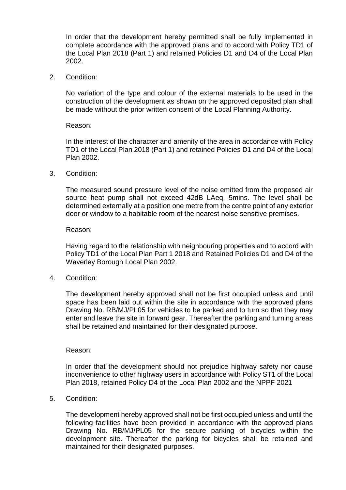In order that the development hereby permitted shall be fully implemented in complete accordance with the approved plans and to accord with Policy TD1 of the Local Plan 2018 (Part 1) and retained Policies D1 and D4 of the Local Plan 2002.

2. Condition:

No variation of the type and colour of the external materials to be used in the construction of the development as shown on the approved deposited plan shall be made without the prior written consent of the Local Planning Authority.

#### Reason:

In the interest of the character and amenity of the area in accordance with Policy TD1 of the Local Plan 2018 (Part 1) and retained Policies D1 and D4 of the Local Plan 2002.

3. Condition:

The measured sound pressure level of the noise emitted from the proposed air source heat pump shall not exceed 42dB LAeq, 5mins. The level shall be determined externally at a position one metre from the centre point of any exterior door or window to a habitable room of the nearest noise sensitive premises.

#### Reason:

Having regard to the relationship with neighbouring properties and to accord with Policy TD1 of the Local Plan Part 1 2018 and Retained Policies D1 and D4 of the Waverley Borough Local Plan 2002.

4. Condition:

The development hereby approved shall not be first occupied unless and until space has been laid out within the site in accordance with the approved plans Drawing No. RB/MJ/PL05 for vehicles to be parked and to turn so that they may enter and leave the site in forward gear. Thereafter the parking and turning areas shall be retained and maintained for their designated purpose.

#### Reason:

In order that the development should not prejudice highway safety nor cause inconvenience to other highway users in accordance with Policy ST1 of the Local Plan 2018, retained Policy D4 of the Local Plan 2002 and the NPPF 2021

5. Condition:

The development hereby approved shall not be first occupied unless and until the following facilities have been provided in accordance with the approved plans Drawing No. RB/MJ/PL05 for the secure parking of bicycles within the development site. Thereafter the parking for bicycles shall be retained and maintained for their designated purposes.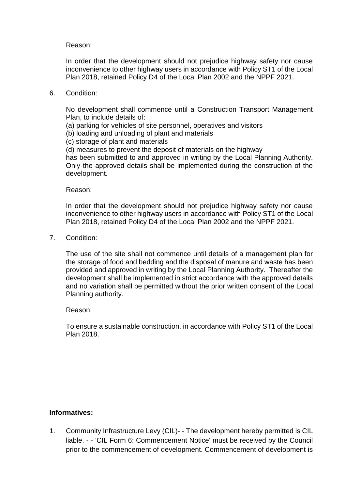#### Reason:

In order that the development should not prejudice highway safety nor cause inconvenience to other highway users in accordance with Policy ST1 of the Local Plan 2018, retained Policy D4 of the Local Plan 2002 and the NPPF 2021.

6. Condition:

No development shall commence until a Construction Transport Management Plan, to include details of:

- (a) parking for vehicles of site personnel, operatives and visitors
- (b) loading and unloading of plant and materials
- (c) storage of plant and materials
- (d) measures to prevent the deposit of materials on the highway

has been submitted to and approved in writing by the Local Planning Authority. Only the approved details shall be implemented during the construction of the development.

Reason:

In order that the development should not prejudice highway safety nor cause inconvenience to other highway users in accordance with Policy ST1 of the Local Plan 2018, retained Policy D4 of the Local Plan 2002 and the NPPF 2021.

7. Condition:

The use of the site shall not commence until details of a management plan for the storage of food and bedding and the disposal of manure and waste has been provided and approved in writing by the Local Planning Authority. Thereafter the development shall be implemented in strict accordance with the approved details and no variation shall be permitted without the prior written consent of the Local Planning authority.

Reason:

To ensure a sustainable construction, in accordance with Policy ST1 of the Local Plan 2018.

#### **Informatives:**

1. Community Infrastructure Levy (CIL)- - The development hereby permitted is CIL liable. - - 'CIL Form 6: Commencement Notice' must be received by the Council prior to the commencement of development. Commencement of development is